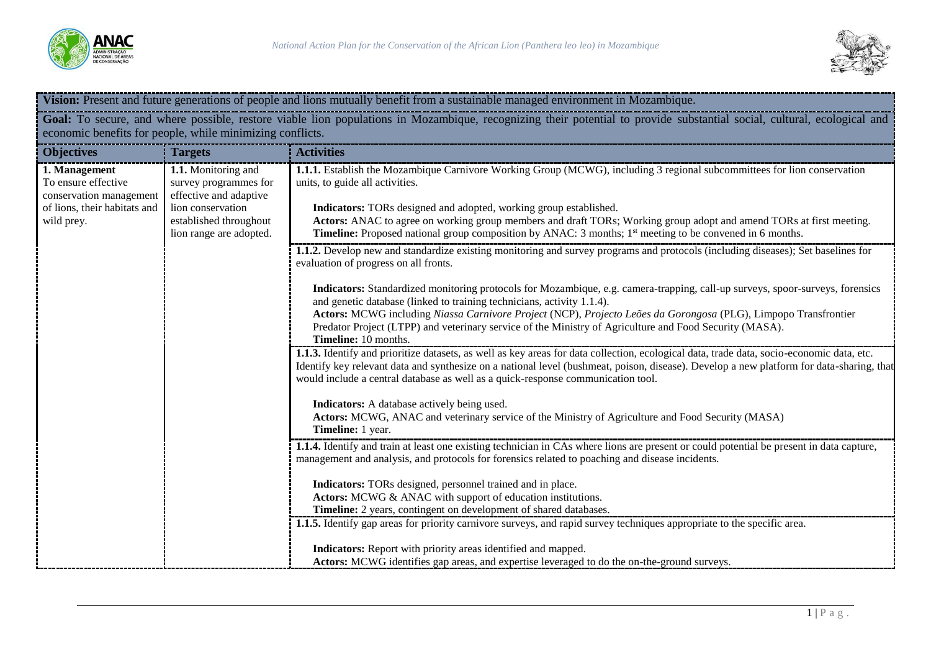



| Vision: Present and future generations of people and lions mutually benefit from a sustainable managed environment in Mozambique.                                                                                                    |                                                                                                                                                  |                                                                                                                                                                                                                                                                                                                                                                                                                                                                                                                                                                                                                                                                                                                                                                                                                                                                                                                                                                                                                                                                                                                                                                                                                                                                                                                                                                                                                                                                                                                                                                                                                                                                                                                                                                              |
|--------------------------------------------------------------------------------------------------------------------------------------------------------------------------------------------------------------------------------------|--------------------------------------------------------------------------------------------------------------------------------------------------|------------------------------------------------------------------------------------------------------------------------------------------------------------------------------------------------------------------------------------------------------------------------------------------------------------------------------------------------------------------------------------------------------------------------------------------------------------------------------------------------------------------------------------------------------------------------------------------------------------------------------------------------------------------------------------------------------------------------------------------------------------------------------------------------------------------------------------------------------------------------------------------------------------------------------------------------------------------------------------------------------------------------------------------------------------------------------------------------------------------------------------------------------------------------------------------------------------------------------------------------------------------------------------------------------------------------------------------------------------------------------------------------------------------------------------------------------------------------------------------------------------------------------------------------------------------------------------------------------------------------------------------------------------------------------------------------------------------------------------------------------------------------------|
| Goal: To secure, and where possible, restore viable lion populations in Mozambique, recognizing their potential to provide substantial social, cultural, ecological and<br>economic benefits for people, while minimizing conflicts. |                                                                                                                                                  |                                                                                                                                                                                                                                                                                                                                                                                                                                                                                                                                                                                                                                                                                                                                                                                                                                                                                                                                                                                                                                                                                                                                                                                                                                                                                                                                                                                                                                                                                                                                                                                                                                                                                                                                                                              |
| <b>Objectives</b>                                                                                                                                                                                                                    | <b>Targets</b>                                                                                                                                   | <b>Activities</b>                                                                                                                                                                                                                                                                                                                                                                                                                                                                                                                                                                                                                                                                                                                                                                                                                                                                                                                                                                                                                                                                                                                                                                                                                                                                                                                                                                                                                                                                                                                                                                                                                                                                                                                                                            |
| 1. Management<br>To ensure effective<br>conservation management<br>of lions, their habitats and<br>wild prey.                                                                                                                        | 1.1. Monitoring and<br>survey programmes for<br>effective and adaptive<br>lion conservation<br>established throughout<br>lion range are adopted. | 1.1.1. Establish the Mozambique Carnivore Working Group (MCWG), including 3 regional subcommittees for lion conservation<br>units, to guide all activities.<br>Indicators: TORs designed and adopted, working group established.<br>Actors: ANAC to agree on working group members and draft TORs; Working group adopt and amend TORs at first meeting.<br><b>Timeline:</b> Proposed national group composition by ANAC: 3 months; 1 <sup>st</sup> meeting to be convened in 6 months.                                                                                                                                                                                                                                                                                                                                                                                                                                                                                                                                                                                                                                                                                                                                                                                                                                                                                                                                                                                                                                                                                                                                                                                                                                                                                       |
|                                                                                                                                                                                                                                      |                                                                                                                                                  | 1.1.2. Develop new and standardize existing monitoring and survey programs and protocols (including diseases); Set baselines for<br>evaluation of progress on all fronts.<br>Indicators: Standardized monitoring protocols for Mozambique, e.g. camera-trapping, call-up surveys, spoor-surveys, forensics<br>and genetic database (linked to training technicians, activity 1.1.4).<br>Actors: MCWG including Niassa Carnivore Project (NCP), Projecto Leões da Gorongosa (PLG), Limpopo Transfrontier<br>Predator Project (LTPP) and veterinary service of the Ministry of Agriculture and Food Security (MASA).<br>Timeline: 10 months.<br>1.1.3. Identify and prioritize datasets, as well as key areas for data collection, ecological data, trade data, socio-economic data, etc.<br>Identify key relevant data and synthesize on a national level (bushmeat, poison, disease). Develop a new platform for data-sharing, that<br>would include a central database as well as a quick-response communication tool.<br>Indicators: A database actively being used.<br>Actors: MCWG, ANAC and veterinary service of the Ministry of Agriculture and Food Security (MASA)<br>Timeline: 1 year.<br>1.1.4. Identify and train at least one existing technician in CAs where lions are present or could potential be present in data capture,<br>management and analysis, and protocols for forensics related to poaching and disease incidents.<br>Indicators: TORs designed, personnel trained and in place.<br>Actors: MCWG & ANAC with support of education institutions.<br>Timeline: 2 years, contingent on development of shared databases.<br>1.1.5. Identify gap areas for priority carnivore surveys, and rapid survey techniques appropriate to the specific area. |
|                                                                                                                                                                                                                                      |                                                                                                                                                  | Indicators: Report with priority areas identified and mapped.<br>Actors: MCWG identifies gap areas, and expertise leveraged to do the on-the-ground surveys.                                                                                                                                                                                                                                                                                                                                                                                                                                                                                                                                                                                                                                                                                                                                                                                                                                                                                                                                                                                                                                                                                                                                                                                                                                                                                                                                                                                                                                                                                                                                                                                                                 |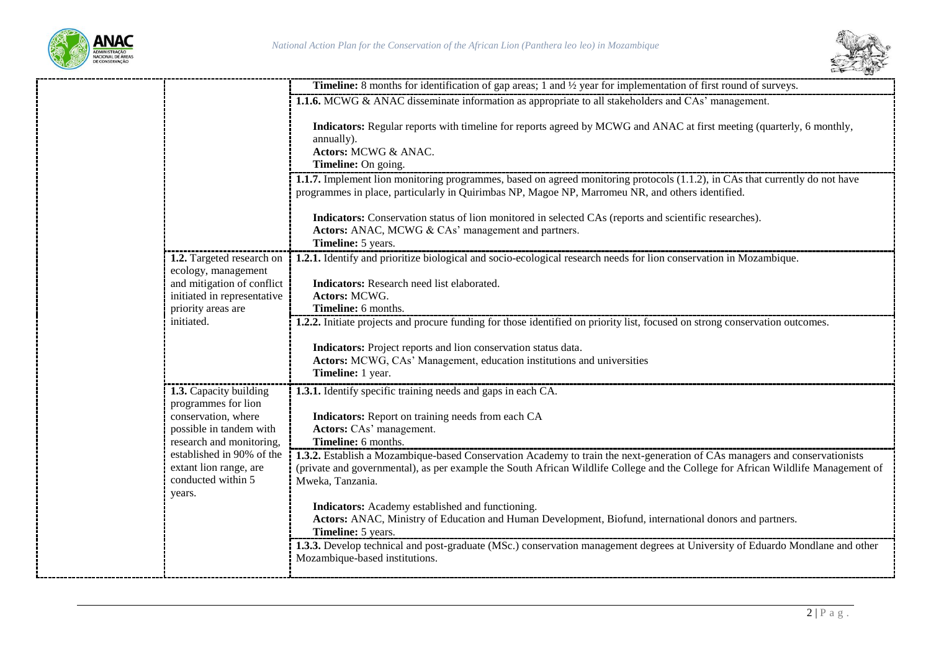



|                                                                                     | <b>Timeline:</b> 8 months for identification of gap areas; 1 and $\frac{1}{2}$ year for implementation of first round of surveys.                                                                                                                                                  |
|-------------------------------------------------------------------------------------|------------------------------------------------------------------------------------------------------------------------------------------------------------------------------------------------------------------------------------------------------------------------------------|
|                                                                                     | <b>1.1.6.</b> MCWG & ANAC disseminate information as appropriate to all stakeholders and CAs' management.                                                                                                                                                                          |
|                                                                                     | Indicators: Regular reports with timeline for reports agreed by MCWG and ANAC at first meeting (quarterly, 6 monthly,<br>annually).<br>Actors: MCWG & ANAC.<br>Timeline: On going.                                                                                                 |
|                                                                                     | 1.1.7. Implement lion monitoring programmes, based on agreed monitoring protocols (1.1.2), in CAs that currently do not have<br>programmes in place, particularly in Quirimbas NP, Magoe NP, Marromeu NR, and others identified.                                                   |
|                                                                                     | Indicators: Conservation status of lion monitored in selected CAs (reports and scientific researches).<br>Actors: ANAC, MCWG & CAs' management and partners.<br>Timeline: 5 years.                                                                                                 |
| 1.2. Targeted research on<br>ecology, management                                    | 1.2.1. Identify and prioritize biological and socio-ecological research needs for lion conservation in Mozambique.                                                                                                                                                                 |
| and mitigation of conflict<br>initiated in representative<br>priority areas are     | Indicators: Research need list elaborated.<br>Actors: MCWG.<br>Timeline: 6 months.                                                                                                                                                                                                 |
| initiated.                                                                          | 1.2.2. Initiate projects and procure funding for those identified on priority list, focused on strong conservation outcomes.                                                                                                                                                       |
|                                                                                     | Indicators: Project reports and lion conservation status data.<br>Actors: MCWG, CAs' Management, education institutions and universities<br>Timeline: 1 year.                                                                                                                      |
| 1.3. Capacity building<br>programmes for lion                                       | 1.3.1. Identify specific training needs and gaps in each CA.                                                                                                                                                                                                                       |
| conservation, where<br>possible in tandem with<br>research and monitoring,          | Indicators: Report on training needs from each CA<br>Actors: CAs' management.<br>Timeline: 6 months.                                                                                                                                                                               |
| established in 90% of the<br>extant lion range, are<br>conducted within 5<br>years. | 1.3.2. Establish a Mozambique-based Conservation Academy to train the next-generation of CAs managers and conservationists<br>(private and governmental), as per example the South African Wildlife College and the College for African Wildlife Management of<br>Mweka, Tanzania. |
|                                                                                     | Indicators: Academy established and functioning.<br>Actors: ANAC, Ministry of Education and Human Development, Biofund, international donors and partners.<br>Timeline: 5 years.                                                                                                   |
|                                                                                     | 1.3.3. Develop technical and post-graduate (MSc.) conservation management degrees at University of Eduardo Mondlane and other<br>Mozambique-based institutions.                                                                                                                    |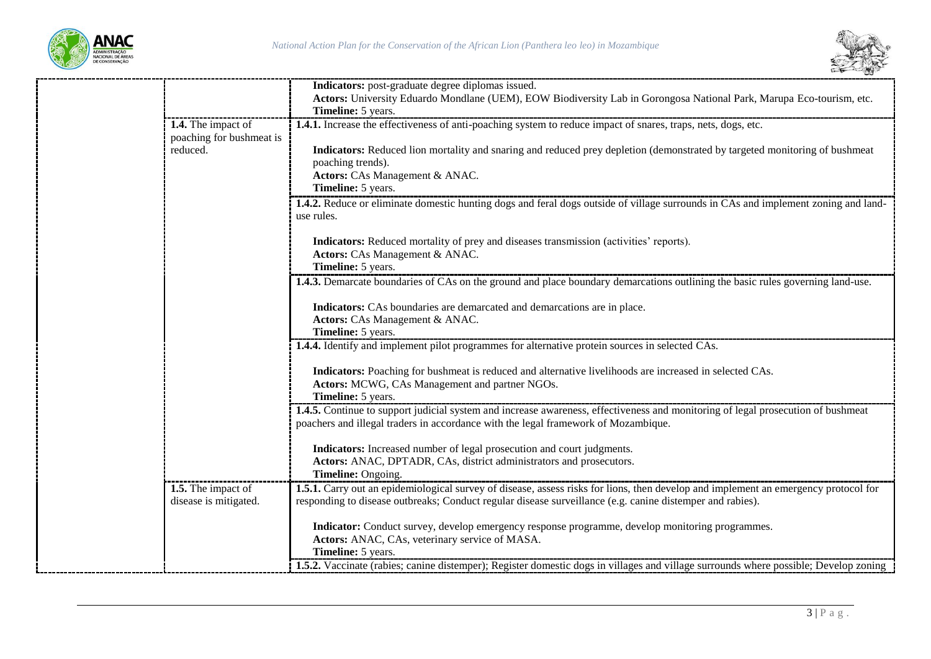



|                          | Indicators: post-graduate degree diplomas issued.                                                                                         |
|--------------------------|-------------------------------------------------------------------------------------------------------------------------------------------|
|                          | Actors: University Eduardo Mondlane (UEM), EOW Biodiversity Lab in Gorongosa National Park, Marupa Eco-tourism, etc.                      |
|                          | Timeline: 5 years.                                                                                                                        |
| 1.4. The impact of       | 1.4.1. Increase the effectiveness of anti-poaching system to reduce impact of snares, traps, nets, dogs, etc.                             |
| poaching for bushmeat is |                                                                                                                                           |
| reduced.                 | Indicators: Reduced lion mortality and snaring and reduced prey depletion (demonstrated by targeted monitoring of bushmeat                |
|                          | poaching trends).                                                                                                                         |
|                          | Actors: CAs Management & ANAC.                                                                                                            |
|                          | Timeline: 5 years.                                                                                                                        |
|                          | <b>1.4.2.</b> Reduce or eliminate domestic hunting dogs and feral dogs outside of village surrounds in CAs and implement zoning and land- |
|                          | use rules.                                                                                                                                |
|                          |                                                                                                                                           |
|                          | Indicators: Reduced mortality of prey and diseases transmission (activities' reports).                                                    |
|                          | Actors: CAs Management & ANAC.                                                                                                            |
|                          | Timeline: 5 years.                                                                                                                        |
|                          | 1.4.3. Demarcate boundaries of CAs on the ground and place boundary demarcations outlining the basic rules governing land-use.            |
|                          |                                                                                                                                           |
|                          | Indicators: CAs boundaries are demarcated and demarcations are in place.                                                                  |
|                          | Actors: CAs Management & ANAC.                                                                                                            |
|                          | Timeline: 5 years.                                                                                                                        |
|                          | 1.4.4. Identify and implement pilot programmes for alternative protein sources in selected CAs.                                           |
|                          |                                                                                                                                           |
|                          | Indicators: Poaching for bushmeat is reduced and alternative livelihoods are increased in selected CAs.                                   |
|                          | Actors: MCWG, CAs Management and partner NGOs.                                                                                            |
|                          | Timeline: 5 years.                                                                                                                        |
|                          | <b>1.4.5.</b> Continue to support judicial system and increase awareness, effectiveness and monitoring of legal prosecution of bushmeat   |
|                          | poachers and illegal traders in accordance with the legal framework of Mozambique.                                                        |
|                          |                                                                                                                                           |
|                          | Indicators: Increased number of legal prosecution and court judgments.                                                                    |
|                          | Actors: ANAC, DPTADR, CAs, district administrators and prosecutors.                                                                       |
|                          | Timeline: Ongoing.                                                                                                                        |
| 1.5. The impact of       | 1.5.1. Carry out an epidemiological survey of disease, assess risks for lions, then develop and implement an emergency protocol for       |
| disease is mitigated.    | responding to disease outbreaks; Conduct regular disease surveillance (e.g. canine distemper and rabies).                                 |
|                          |                                                                                                                                           |
|                          | Indicator: Conduct survey, develop emergency response programme, develop monitoring programmes.                                           |
|                          | Actors: ANAC, CAs, veterinary service of MASA.                                                                                            |
|                          | Timeline: 5 years.                                                                                                                        |
|                          | 1.5.2. Vaccinate (rabies; canine distemper); Register domestic dogs in villages and village surrounds where possible; Develop zoning      |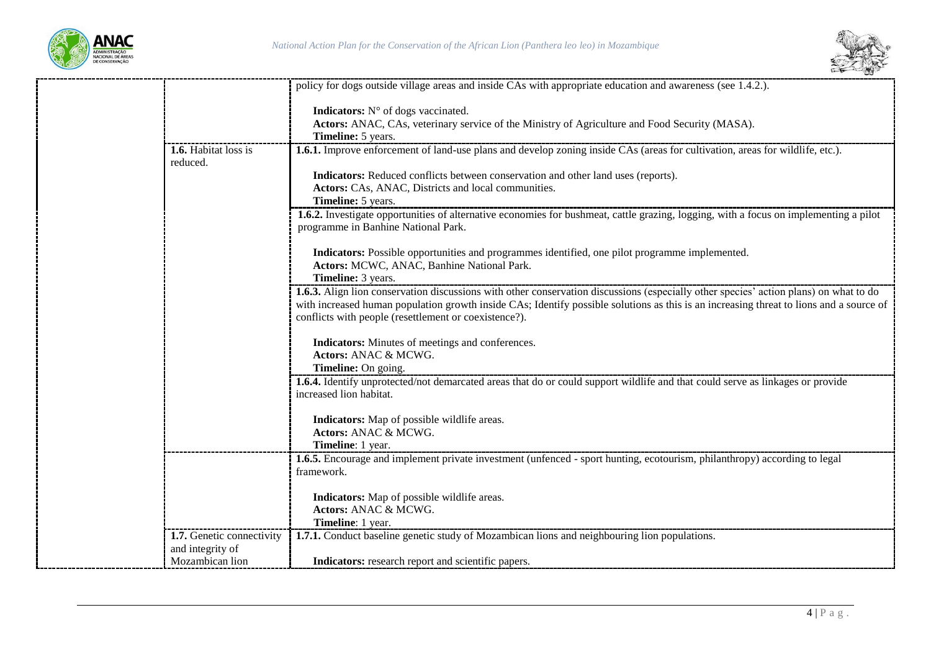

----------------



|                                         | policy for dogs outside village areas and inside CAs with appropriate education and awareness (see 1.4.2.).                                  |
|-----------------------------------------|----------------------------------------------------------------------------------------------------------------------------------------------|
|                                         | Indicators: N° of dogs vaccinated.                                                                                                           |
|                                         | Actors: ANAC, CAs, veterinary service of the Ministry of Agriculture and Food Security (MASA).                                               |
|                                         | <b>Timeline:</b> 5 years.                                                                                                                    |
| <b>1.6.</b> Habitat loss is<br>reduced. | <b>1.6.1.</b> Improve enforcement of land-use plans and develop zoning inside CAs (areas for cultivation, areas for wildlife, etc.).         |
|                                         | Indicators: Reduced conflicts between conservation and other land uses (reports).                                                            |
|                                         | Actors: CAs, ANAC, Districts and local communities.                                                                                          |
|                                         | Timeline: 5 years.                                                                                                                           |
|                                         | 1.6.2. Investigate opportunities of alternative economies for bushmeat, cattle grazing, logging, with a focus on implementing a pilot        |
|                                         | programme in Banhine National Park.                                                                                                          |
|                                         | Indicators: Possible opportunities and programmes identified, one pilot programme implemented.                                               |
|                                         | Actors: MCWC, ANAC, Banhine National Park.                                                                                                   |
|                                         | Timeline: 3 years.                                                                                                                           |
|                                         | <b>1.6.3.</b> Align lion conservation discussions with other conservation discussions (especially other species' action plans) on what to do |
|                                         | with increased human population growth inside CAs; Identify possible solutions as this is an increasing threat to lions and a source of      |
|                                         | conflicts with people (resettlement or coexistence?).                                                                                        |
|                                         |                                                                                                                                              |
|                                         | Indicators: Minutes of meetings and conferences.                                                                                             |
|                                         | Actors: ANAC & MCWG.                                                                                                                         |
|                                         | Timeline: On going.                                                                                                                          |
|                                         | 1.6.4. Identify unprotected/not demarcated areas that do or could support wildlife and that could serve as linkages or provide               |
|                                         | increased lion habitat.                                                                                                                      |
|                                         | Indicators: Map of possible wildlife areas.                                                                                                  |
|                                         | Actors: ANAC & MCWG.                                                                                                                         |
|                                         | <b>Timeline</b> : 1 year.                                                                                                                    |
|                                         | 1.6.5. Encourage and implement private investment (unfenced - sport hunting, ecotourism, philanthropy) according to legal                    |
|                                         | framework.                                                                                                                                   |
|                                         |                                                                                                                                              |
|                                         | Indicators: Map of possible wildlife areas.                                                                                                  |
|                                         | Actors: ANAC & MCWG.                                                                                                                         |
|                                         | Timeline: 1 year.                                                                                                                            |
| 1.7. Genetic connectivity               | 1.7.1. Conduct baseline genetic study of Mozambican lions and neighbouring lion populations.                                                 |
| and integrity of                        |                                                                                                                                              |
| Mozambican lion                         | Indicators: research report and scientific papers.                                                                                           |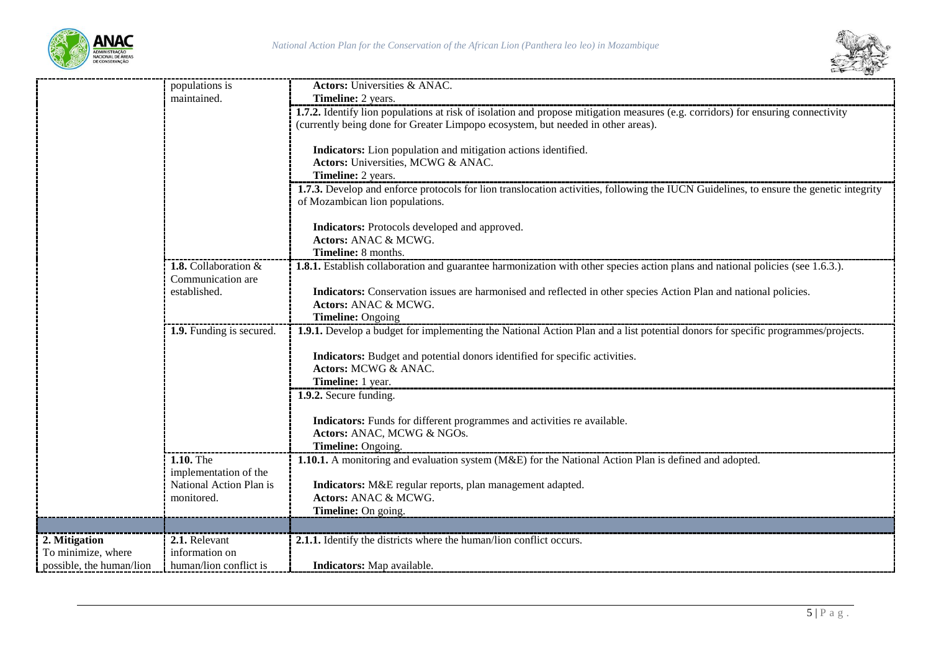

----



|                          | populations is           | <b>Actors:</b> Universities & ANAC.                                                                                                                                       |
|--------------------------|--------------------------|---------------------------------------------------------------------------------------------------------------------------------------------------------------------------|
|                          | maintained.              | Timeline: 2 years.                                                                                                                                                        |
|                          |                          | 1.7.2. Identify lion populations at risk of isolation and propose mitigation measures (e.g. corridors) for ensuring connectivity                                          |
|                          |                          | (currently being done for Greater Limpopo ecosystem, but needed in other areas).                                                                                          |
|                          |                          |                                                                                                                                                                           |
|                          |                          | Indicators: Lion population and mitigation actions identified.                                                                                                            |
|                          |                          | Actors: Universities, MCWG & ANAC.                                                                                                                                        |
|                          |                          | Timeline: 2 years.                                                                                                                                                        |
|                          |                          | 1.7.3. Develop and enforce protocols for lion translocation activities, following the IUCN Guidelines, to ensure the genetic integrity<br>of Mozambican lion populations. |
|                          |                          | Indicators: Protocols developed and approved.<br>Actors: ANAC & MCWG.                                                                                                     |
|                          |                          | Timeline: 8 months.                                                                                                                                                       |
|                          | 1.8. Collaboration &     | <b>1.8.1.</b> Establish collaboration and guarantee harmonization with other species action plans and national policies (see 1.6.3.).                                     |
|                          | Communication are        |                                                                                                                                                                           |
|                          | established.             | Indicators: Conservation issues are harmonised and reflected in other species Action Plan and national policies.                                                          |
|                          |                          | Actors: ANAC & MCWG.                                                                                                                                                      |
|                          |                          | <b>Timeline: Ongoing</b>                                                                                                                                                  |
|                          | 1.9. Funding is secured. | 1.9.1. Develop a budget for implementing the National Action Plan and a list potential donors for specific programmes/projects.                                           |
|                          |                          |                                                                                                                                                                           |
|                          |                          | Indicators: Budget and potential donors identified for specific activities.                                                                                               |
|                          |                          | Actors: MCWG & ANAC.                                                                                                                                                      |
|                          |                          | Timeline: 1 year.                                                                                                                                                         |
|                          |                          | 1.9.2. Secure funding.                                                                                                                                                    |
|                          |                          | Indicators: Funds for different programmes and activities re available.                                                                                                   |
|                          |                          | Actors: ANAC, MCWG & NGOs.                                                                                                                                                |
|                          |                          | Timeline: Ongoing.                                                                                                                                                        |
|                          | 1.10. The                | 1.10.1. A monitoring and evaluation system (M&E) for the National Action Plan is defined and adopted.                                                                     |
|                          | implementation of the    |                                                                                                                                                                           |
|                          | National Action Plan is  | Indicators: M&E regular reports, plan management adapted.                                                                                                                 |
|                          | monitored.               | Actors: ANAC & MCWG.                                                                                                                                                      |
|                          |                          | Timeline: On going.                                                                                                                                                       |
|                          |                          |                                                                                                                                                                           |
| 2. Mitigation            | 2.1. Relevant            | 2.1.1. Identify the districts where the human/lion conflict occurs.                                                                                                       |
| To minimize, where       | information on           |                                                                                                                                                                           |
| possible, the human/lion | human/lion conflict is   | Indicators: Map available.                                                                                                                                                |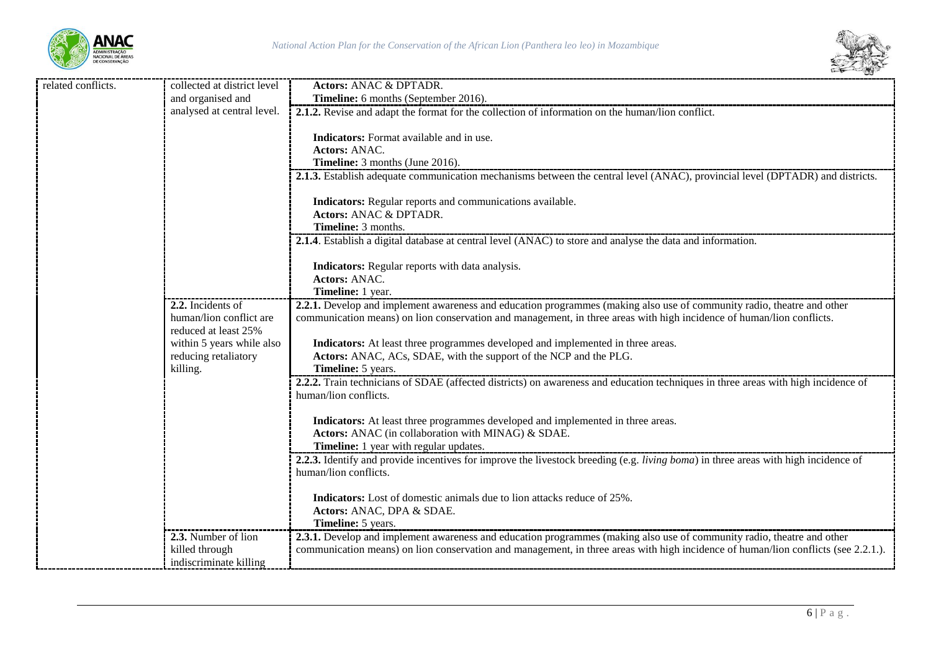



| related conflicts. | collected at district level | <b>Actors: ANAC &amp; DPTADR.</b>                                                                                                  |
|--------------------|-----------------------------|------------------------------------------------------------------------------------------------------------------------------------|
|                    | and organised and           | Timeline: 6 months (September 2016).                                                                                               |
|                    | analysed at central level.  | 2.1.2. Revise and adapt the format for the collection of information on the human/lion conflict.                                   |
|                    |                             |                                                                                                                                    |
|                    |                             | <b>Indicators:</b> Format available and in use.                                                                                    |
|                    |                             | <b>Actors: ANAC.</b>                                                                                                               |
|                    |                             | Timeline: 3 months (June 2016).                                                                                                    |
|                    |                             | 2.1.3. Establish adequate communication mechanisms between the central level (ANAC), provincial level (DPTADR) and districts.      |
|                    |                             | Indicators: Regular reports and communications available.                                                                          |
|                    |                             | Actors: ANAC & DPTADR.                                                                                                             |
|                    |                             | Timeline: 3 months.                                                                                                                |
|                    |                             | 2.1.4. Establish a digital database at central level (ANAC) to store and analyse the data and information.                         |
|                    |                             |                                                                                                                                    |
|                    |                             | Indicators: Regular reports with data analysis.                                                                                    |
|                    |                             | Actors: ANAC.                                                                                                                      |
|                    |                             | Timeline: 1 year.                                                                                                                  |
|                    | 2.2. Incidents of           | 2.2.1. Develop and implement awareness and education programmes (making also use of community radio, theatre and other             |
|                    | human/lion conflict are     | communication means) on lion conservation and management, in three areas with high incidence of human/lion conflicts.              |
|                    | reduced at least 25%        |                                                                                                                                    |
|                    | within 5 years while also   | Indicators: At least three programmes developed and implemented in three areas.                                                    |
|                    | reducing retaliatory        | Actors: ANAC, ACs, SDAE, with the support of the NCP and the PLG.                                                                  |
|                    | killing.                    | Timeline: 5 years.                                                                                                                 |
|                    |                             | 2.2.2. Train technicians of SDAE (affected districts) on awareness and education techniques in three areas with high incidence of  |
|                    |                             | human/lion conflicts.                                                                                                              |
|                    |                             |                                                                                                                                    |
|                    |                             | Indicators: At least three programmes developed and implemented in three areas.                                                    |
|                    |                             | Actors: ANAC (in collaboration with MINAG) & SDAE.<br>Timeline: 1 year with regular updates.                                       |
|                    |                             | 2.2.3. Identify and provide incentives for improve the livestock breeding (e.g. living boma) in three areas with high incidence of |
|                    |                             | human/lion conflicts.                                                                                                              |
|                    |                             |                                                                                                                                    |
|                    |                             | <b>Indicators:</b> Lost of domestic animals due to lion attacks reduce of 25%.                                                     |
|                    |                             | Actors: ANAC, DPA & SDAE.                                                                                                          |
|                    |                             | Timeline: 5 years.                                                                                                                 |
|                    | 2.3. Number of lion         | 2.3.1. Develop and implement awareness and education programmes (making also use of community radio, theatre and other             |
|                    | killed through              | communication means) on lion conservation and management, in three areas with high incidence of human/lion conflicts (see 2.2.1.). |
|                    | indiscriminate killing      |                                                                                                                                    |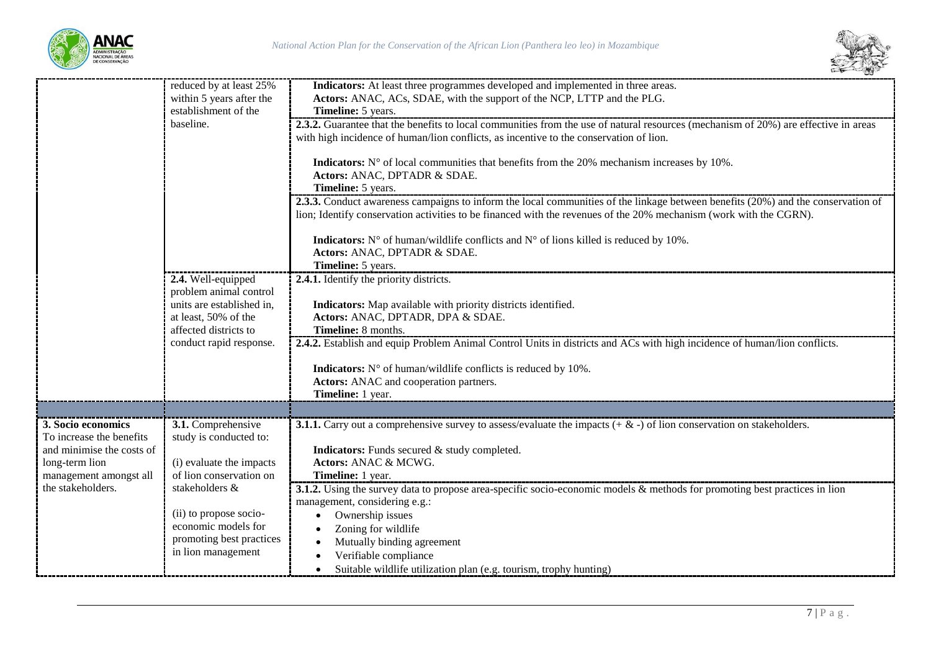



|                           | reduced by at least 25%                             | Indicators: At least three programmes developed and implemented in three areas.                                                     |
|---------------------------|-----------------------------------------------------|-------------------------------------------------------------------------------------------------------------------------------------|
|                           | within 5 years after the                            | Actors: ANAC, ACs, SDAE, with the support of the NCP, LTTP and the PLG.                                                             |
|                           | establishment of the                                | Timeline: 5 years.                                                                                                                  |
|                           | baseline.                                           | 2.3.2. Guarantee that the benefits to local communities from the use of natural resources (mechanism of 20%) are effective in areas |
|                           |                                                     | with high incidence of human/lion conflicts, as incentive to the conservation of lion.                                              |
|                           |                                                     |                                                                                                                                     |
|                           |                                                     | <b>Indicators:</b> $N^{\circ}$ of local communities that benefits from the 20% mechanism increases by 10%.                          |
|                           |                                                     | Actors: ANAC, DPTADR & SDAE.                                                                                                        |
|                           |                                                     | Timeline: 5 years.                                                                                                                  |
|                           |                                                     | 2.3.3. Conduct awareness campaigns to inform the local communities of the linkage between benefits (20%) and the conservation of    |
|                           |                                                     | lion; Identify conservation activities to be financed with the revenues of the 20% mechanism (work with the CGRN).                  |
|                           |                                                     |                                                                                                                                     |
|                           |                                                     | <b>Indicators:</b> N° of human/wildlife conflicts and N° of lions killed is reduced by 10%.                                         |
|                           |                                                     | Actors: ANAC, DPTADR & SDAE.                                                                                                        |
|                           |                                                     | Timeline: 5 years.                                                                                                                  |
|                           | 2.4. Well-equipped                                  | 2.4.1. Identify the priority districts.                                                                                             |
|                           | problem animal control<br>units are established in. |                                                                                                                                     |
|                           | at least, 50% of the                                | Indicators: Map available with priority districts identified.<br>Actors: ANAC, DPTADR, DPA & SDAE.                                  |
|                           | affected districts to                               | Timeline: 8 months.                                                                                                                 |
|                           | conduct rapid response.                             | 2.4.2. Establish and equip Problem Animal Control Units in districts and ACs with high incidence of human/lion conflicts.           |
|                           |                                                     |                                                                                                                                     |
|                           |                                                     | <b>Indicators:</b> $N^{\circ}$ of human/wildlife conflicts is reduced by 10%.                                                       |
|                           |                                                     | Actors: ANAC and cooperation partners.                                                                                              |
|                           |                                                     | Timeline: 1 year.                                                                                                                   |
|                           |                                                     |                                                                                                                                     |
| 3. Socio economics        | 3.1. Comprehensive                                  | <b>3.1.1.</b> Carry out a comprehensive survey to assess/evaluate the impacts $(+ \& -)$ of lion conservation on stakeholders.      |
| To increase the benefits  | study is conducted to:                              |                                                                                                                                     |
| and minimise the costs of |                                                     | Indicators: Funds secured & study completed.                                                                                        |
| long-term lion            | (i) evaluate the impacts                            | Actors: ANAC & MCWG.                                                                                                                |
| management amongst all    | of lion conservation on                             | Timeline: 1 year.                                                                                                                   |
| the stakeholders.         | stakeholders &                                      | <b>3.1.2.</b> Using the survey data to propose area-specific socio-economic models & methods for promoting best practices in lion   |
|                           |                                                     | management, considering e.g.:                                                                                                       |
|                           | (ii) to propose socio-                              | Ownership issues<br>$\bullet$                                                                                                       |
|                           | economic models for                                 | Zoning for wildlife<br>٠                                                                                                            |
|                           | promoting best practices                            | Mutually binding agreement<br>$\bullet$                                                                                             |
|                           | in lion management                                  | Verifiable compliance                                                                                                               |
|                           |                                                     | Suitable wildlife utilization plan (e.g. tourism, trophy hunting)<br>$\bullet$                                                      |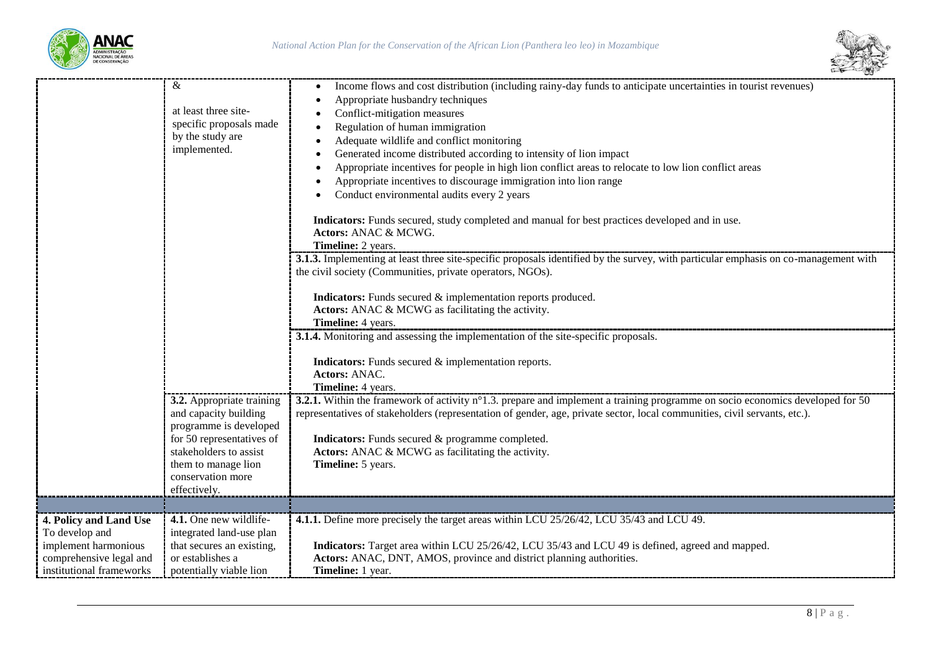



|                                                                                                                         | &<br>at least three site-<br>specific proposals made<br>by the study are<br>implemented.                                            | Income flows and cost distribution (including rainy-day funds to anticipate uncertainties in tourist revenues)<br>Appropriate husbandry techniques<br>Conflict-mitigation measures<br>Regulation of human immigration<br>Adequate wildlife and conflict monitoring<br>Generated income distributed according to intensity of lion impact<br>Appropriate incentives for people in high lion conflict areas to relocate to low lion conflict areas<br>Appropriate incentives to discourage immigration into lion range<br>Conduct environmental audits every 2 years<br>Indicators: Funds secured, study completed and manual for best practices developed and in use.<br>Actors: ANAC & MCWG.<br>Timeline: 2 years.<br><b>3.1.3.</b> Implementing at least three site-specific proposals identified by the survey, with particular emphasis on co-management with<br>the civil society (Communities, private operators, NGOs).<br>Indicators: Funds secured & implementation reports produced.<br>Actors: ANAC & MCWG as facilitating the activity.<br>Timeline: 4 years.<br>3.1.4. Monitoring and assessing the implementation of the site-specific proposals. |
|-------------------------------------------------------------------------------------------------------------------------|-------------------------------------------------------------------------------------------------------------------------------------|----------------------------------------------------------------------------------------------------------------------------------------------------------------------------------------------------------------------------------------------------------------------------------------------------------------------------------------------------------------------------------------------------------------------------------------------------------------------------------------------------------------------------------------------------------------------------------------------------------------------------------------------------------------------------------------------------------------------------------------------------------------------------------------------------------------------------------------------------------------------------------------------------------------------------------------------------------------------------------------------------------------------------------------------------------------------------------------------------------------------------------------------------------------|
|                                                                                                                         | 3.2. Appropriate training<br>and capacity building<br>programme is developed<br>for 50 representatives of<br>stakeholders to assist | Indicators: Funds secured & implementation reports.<br>Actors: ANAC.<br>Timeline: 4 years.<br>3.2.1. Within the framework of activity n°1.3. prepare and implement a training programme on socio economics developed for 50<br>representatives of stakeholders (representation of gender, age, private sector, local communities, civil servants, etc.).<br>Indicators: Funds secured & programme completed.<br>Actors: ANAC & MCWG as facilitating the activity.                                                                                                                                                                                                                                                                                                                                                                                                                                                                                                                                                                                                                                                                                              |
|                                                                                                                         | them to manage lion<br>conservation more<br>effectively.                                                                            | Timeline: 5 years.                                                                                                                                                                                                                                                                                                                                                                                                                                                                                                                                                                                                                                                                                                                                                                                                                                                                                                                                                                                                                                                                                                                                             |
| 4. Policy and Land Use<br>To develop and<br>implement harmonious<br>comprehensive legal and<br>institutional frameworks | 4.1. One new wildlife-<br>integrated land-use plan<br>that secures an existing,<br>or establishes a<br>potentially viable lion      | 4.1.1. Define more precisely the target areas within LCU 25/26/42, LCU 35/43 and LCU 49.<br><b>Indicators:</b> Target area within LCU 25/26/42, LCU 35/43 and LCU 49 is defined, agreed and mapped.<br>Actors: ANAC, DNT, AMOS, province and district planning authorities.<br><b>Timeline:</b> 1 year.                                                                                                                                                                                                                                                                                                                                                                                                                                                                                                                                                                                                                                                                                                                                                                                                                                                        |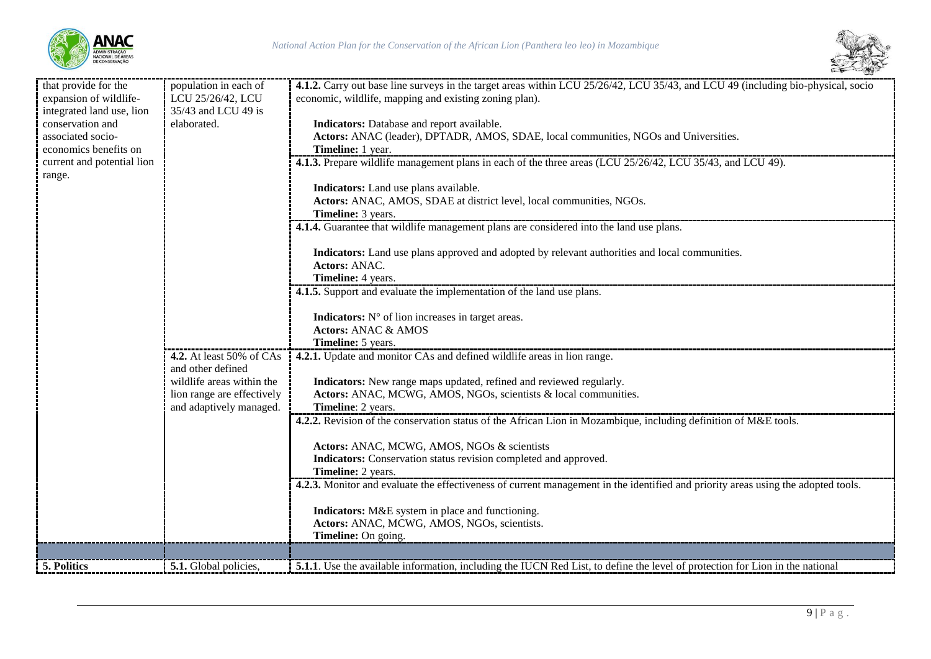



| that provide for the       | population in each of           | 4.1.2. Carry out base line surveys in the target areas within LCU 25/26/42, LCU 35/43, and LCU 49 (including bio-physical, socio       |
|----------------------------|---------------------------------|----------------------------------------------------------------------------------------------------------------------------------------|
| expansion of wildlife-     | LCU 25/26/42, LCU               | economic, wildlife, mapping and existing zoning plan).                                                                                 |
| integrated land use, lion  | 35/43 and LCU 49 is             |                                                                                                                                        |
| conservation and           | elaborated.                     | Indicators: Database and report available.                                                                                             |
| associated socio-          |                                 | Actors: ANAC (leader), DPTADR, AMOS, SDAE, local communities, NGOs and Universities.                                                   |
| economics benefits on      |                                 | Timeline: 1 year.                                                                                                                      |
| current and potential lion |                                 | 4.1.3. Prepare wildlife management plans in each of the three areas (LCU 25/26/42, LCU 35/43, and LCU 49).                             |
| range.                     |                                 |                                                                                                                                        |
|                            |                                 | Indicators: Land use plans available.<br>Actors: ANAC, AMOS, SDAE at district level, local communities, NGOs.                          |
|                            |                                 | Timeline: 3 years.                                                                                                                     |
|                            |                                 | 4.1.4. Guarantee that wildlife management plans are considered into the land use plans.                                                |
|                            |                                 |                                                                                                                                        |
|                            |                                 | Indicators: Land use plans approved and adopted by relevant authorities and local communities.                                         |
|                            |                                 | <b>Actors: ANAC.</b>                                                                                                                   |
|                            |                                 | Timeline: 4 years.                                                                                                                     |
|                            |                                 | 4.1.5. Support and evaluate the implementation of the land use plans.                                                                  |
|                            |                                 |                                                                                                                                        |
|                            |                                 | Indicators: N° of lion increases in target areas.                                                                                      |
|                            |                                 | <b>Actors: ANAC &amp; AMOS</b>                                                                                                         |
|                            |                                 | Timeline: 5 years.                                                                                                                     |
|                            | <b>4.2.</b> At least 50% of CAs | 4.2.1. Update and monitor CAs and defined wildlife areas in lion range.                                                                |
|                            | and other defined               |                                                                                                                                        |
|                            | wildlife areas within the       | Indicators: New range maps updated, refined and reviewed regularly.                                                                    |
|                            | lion range are effectively      | Actors: ANAC, MCWG, AMOS, NGOs, scientists & local communities.                                                                        |
|                            | and adaptively managed.         | Timeline: 2 years.<br>4.2.2. Revision of the conservation status of the African Lion in Mozambique, including definition of M&E tools. |
|                            |                                 |                                                                                                                                        |
|                            |                                 | Actors: ANAC, MCWG, AMOS, NGOs & scientists                                                                                            |
|                            |                                 | Indicators: Conservation status revision completed and approved.                                                                       |
|                            |                                 | Timeline: 2 years.                                                                                                                     |
|                            |                                 | 4.2.3. Monitor and evaluate the effectiveness of current management in the identified and priority areas using the adopted tools.      |
|                            |                                 |                                                                                                                                        |
|                            |                                 | Indicators: M&E system in place and functioning.                                                                                       |
|                            |                                 | Actors: ANAC, MCWG, AMOS, NGOs, scientists.                                                                                            |
|                            |                                 | Timeline: On going.                                                                                                                    |
|                            |                                 |                                                                                                                                        |
| 5. Politics                | 5.1. Global policies,           | 5.1.1. Use the available information, including the IUCN Red List, to define the level of protection for Lion in the national          |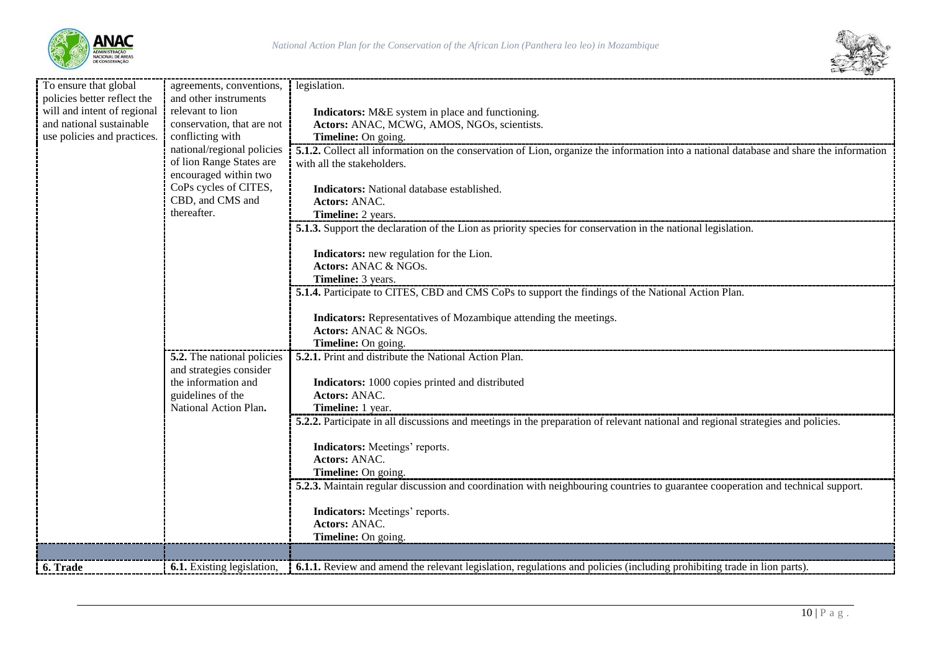



| To ensure that global       | agreements, conventions,   | legislation.                                                                                                                            |
|-----------------------------|----------------------------|-----------------------------------------------------------------------------------------------------------------------------------------|
| policies better reflect the | and other instruments      |                                                                                                                                         |
| will and intent of regional | relevant to lion           | Indicators: M&E system in place and functioning.                                                                                        |
| and national sustainable    | conservation, that are not | Actors: ANAC, MCWG, AMOS, NGOs, scientists.                                                                                             |
| use policies and practices. | conflicting with           | <b>Timeline:</b> On going.                                                                                                              |
|                             | national/regional policies | 5.1.2. Collect all information on the conservation of Lion, organize the information into a national database and share the information |
|                             | of lion Range States are   | with all the stakeholders.                                                                                                              |
|                             | encouraged within two      |                                                                                                                                         |
|                             | CoPs cycles of CITES,      | Indicators: National database established.                                                                                              |
|                             | CBD, and CMS and           | <b>Actors: ANAC.</b>                                                                                                                    |
|                             | thereafter.                | Timeline: 2 years.                                                                                                                      |
|                             |                            | 5.1.3. Support the declaration of the Lion as priority species for conservation in the national legislation.                            |
|                             |                            |                                                                                                                                         |
|                             |                            | Indicators: new regulation for the Lion.                                                                                                |
|                             |                            | Actors: ANAC & NGOs.                                                                                                                    |
|                             |                            | Timeline: 3 years.                                                                                                                      |
|                             |                            | 5.1.4. Participate to CITES, CBD and CMS CoPs to support the findings of the National Action Plan.                                      |
|                             |                            |                                                                                                                                         |
|                             |                            | Indicators: Representatives of Mozambique attending the meetings.                                                                       |
|                             |                            | Actors: ANAC & NGOs.                                                                                                                    |
|                             |                            | Timeline: On going.                                                                                                                     |
|                             | 5.2. The national policies | <b>5.2.1.</b> Print and distribute the National Action Plan.                                                                            |
|                             | and strategies consider    |                                                                                                                                         |
|                             | the information and        | Indicators: 1000 copies printed and distributed                                                                                         |
|                             | guidelines of the          | <b>Actors: ANAC.</b>                                                                                                                    |
|                             | National Action Plan.      | Timeline: 1 year.                                                                                                                       |
|                             |                            | 5.2.2. Participate in all discussions and meetings in the preparation of relevant national and regional strategies and policies.        |
|                             |                            |                                                                                                                                         |
|                             |                            | <b>Indicators:</b> Meetings' reports.                                                                                                   |
|                             |                            | <b>Actors: ANAC.</b>                                                                                                                    |
|                             |                            | Timeline: On going.                                                                                                                     |
|                             |                            | 5.2.3. Maintain regular discussion and coordination with neighbouring countries to guarantee cooperation and technical support.         |
|                             |                            |                                                                                                                                         |
|                             |                            | <b>Indicators:</b> Meetings' reports.                                                                                                   |
|                             |                            | Actors: ANAC.                                                                                                                           |
|                             |                            | Timeline: On going.                                                                                                                     |
|                             |                            |                                                                                                                                         |
| 6. Trade                    | 6.1. Existing legislation, | <b>6.1.1.</b> Review and amend the relevant legislation, regulations and policies (including prohibiting trade in lion parts).          |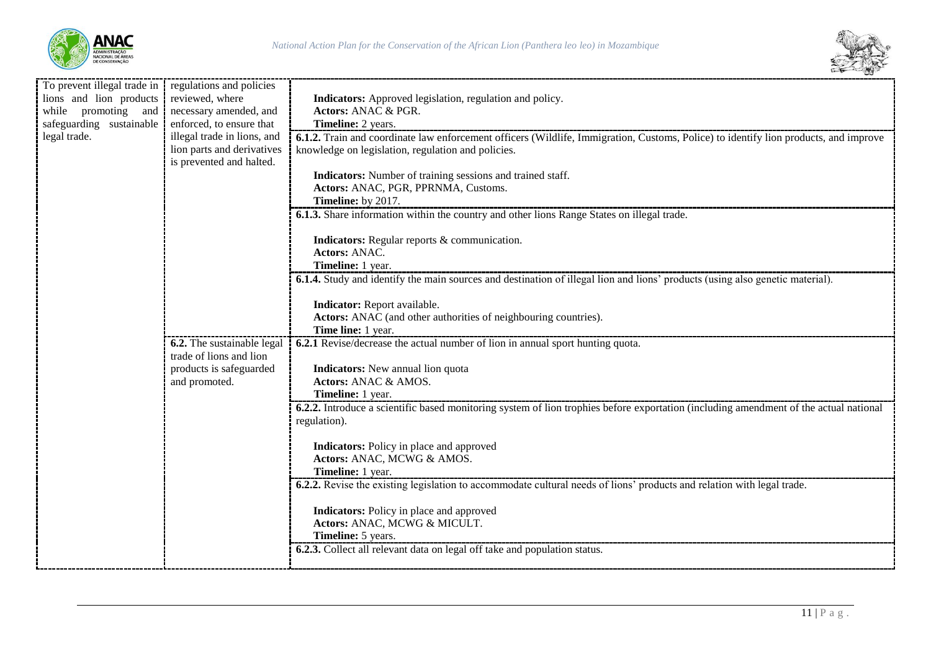



| To prevent illegal trade in regulations and policies |                             |                                                                                                                                       |
|------------------------------------------------------|-----------------------------|---------------------------------------------------------------------------------------------------------------------------------------|
| lions and lion products                              | reviewed, where             | Indicators: Approved legislation, regulation and policy.                                                                              |
| while promoting and                                  | necessary amended, and      | Actors: ANAC & PGR.                                                                                                                   |
| safeguarding sustainable                             | enforced, to ensure that    | Timeline: 2 years.                                                                                                                    |
| legal trade.                                         | illegal trade in lions, and | 6.1.2. Train and coordinate law enforcement officers (Wildlife, Immigration, Customs, Police) to identify lion products, and improve  |
|                                                      | lion parts and derivatives  | knowledge on legislation, regulation and policies.                                                                                    |
|                                                      | is prevented and halted.    |                                                                                                                                       |
|                                                      |                             | Indicators: Number of training sessions and trained staff.                                                                            |
|                                                      |                             | Actors: ANAC, PGR, PPRNMA, Customs.                                                                                                   |
|                                                      |                             | Timeline: by 2017.                                                                                                                    |
|                                                      |                             | <b>6.1.3.</b> Share information within the country and other lions Range States on illegal trade.                                     |
|                                                      |                             |                                                                                                                                       |
|                                                      |                             | Indicators: Regular reports & communication.                                                                                          |
|                                                      |                             | Actors: ANAC.                                                                                                                         |
|                                                      |                             | Timeline: 1 year.                                                                                                                     |
|                                                      |                             | <b>6.1.4.</b> Study and identify the main sources and destination of illegal lion and lions' products (using also genetic material).  |
|                                                      |                             |                                                                                                                                       |
|                                                      |                             |                                                                                                                                       |
|                                                      |                             | Indicator: Report available.                                                                                                          |
|                                                      |                             | Actors: ANAC (and other authorities of neighbouring countries).                                                                       |
|                                                      |                             | Time line: 1 year.                                                                                                                    |
|                                                      | 6.2. The sustainable legal  | 6.2.1 Revise/decrease the actual number of lion in annual sport hunting quota.                                                        |
|                                                      | trade of lions and lion     |                                                                                                                                       |
|                                                      | products is safeguarded     | Indicators: New annual lion quota                                                                                                     |
|                                                      | and promoted.               | Actors: ANAC & AMOS.                                                                                                                  |
|                                                      |                             | Timeline: 1 year.                                                                                                                     |
|                                                      |                             | 6.2.2. Introduce a scientific based monitoring system of lion trophies before exportation (including amendment of the actual national |
|                                                      |                             | regulation).                                                                                                                          |
|                                                      |                             |                                                                                                                                       |
|                                                      |                             | Indicators: Policy in place and approved                                                                                              |
|                                                      |                             | Actors: ANAC, MCWG & AMOS.                                                                                                            |
|                                                      |                             | Timeline: 1 year.                                                                                                                     |
|                                                      |                             | <b>6.2.2.</b> Revise the existing legislation to accommodate cultural needs of lions' products and relation with legal trade.         |
|                                                      |                             |                                                                                                                                       |
|                                                      |                             | Indicators: Policy in place and approved                                                                                              |
|                                                      |                             | Actors: ANAC, MCWG & MICULT.                                                                                                          |
|                                                      |                             | Timeline: 5 years.                                                                                                                    |
|                                                      |                             | 6.2.3. Collect all relevant data on legal off take and population status.                                                             |
|                                                      |                             |                                                                                                                                       |